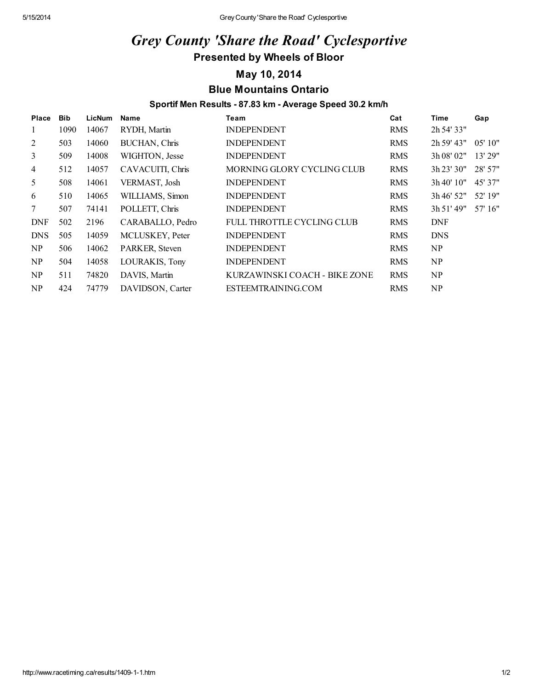## *Grey County 'Share the Road' Cyclesportive* Presented by Wheels of Bloor

#### May 10, 2014 Blue Mountains Ontario

#### Sportif Men Results - 87.83 km - Average Speed 30.2 km/h

| Place          | <b>Bib</b> | <b>LicNum</b> | Name                 | Team                          | Cat        | <b>Time</b> | Gap     |
|----------------|------------|---------------|----------------------|-------------------------------|------------|-------------|---------|
| 1              | 1090       | 14067         | RYDH, Martin         | <b>INDEPENDENT</b>            | <b>RMS</b> | 2h 54' 33"  |         |
| 2              | 503        | 14060         | <b>BUCHAN, Chris</b> | <b>INDEPENDENT</b>            | <b>RMS</b> | 2h 59' 43"  | 05'10"  |
| $\mathfrak{Z}$ | 509        | 14008         | WIGHTON, Jesse       | <b>INDEPENDENT</b>            | <b>RMS</b> | 3h 08' 02"  | 13' 29" |
| $\overline{4}$ | 512        | 14057         | CAVACUITI, Chris     | MORNING GLORY CYCLING CLUB    | <b>RMS</b> | 3h 23' 30'' | 28' 57" |
| 5              | 508        | 14061         | VERMAST, Josh        | <b>INDEPENDENT</b>            | <b>RMS</b> | 3h40'10''   | 45' 37" |
| 6              | 510        | 14065         | WILLIAMS, Simon      | <b>INDEPENDENT</b>            | <b>RMS</b> | 3h 46' 52"  | 52' 19" |
| $\tau$         | 507        | 74141         | POLLETT, Chris       | <b>INDEPENDENT</b>            | <b>RMS</b> | 3h 51' 49'' | 57' 16" |
| <b>DNF</b>     | 502        | 2196          | CARABALLO, Pedro     | FULL THROTTLE CYCLING CLUB    | <b>RMS</b> | <b>DNF</b>  |         |
| <b>DNS</b>     | 505        | 14059         | MCLUSKEY, Peter      | <b>INDEPENDENT</b>            | <b>RMS</b> | <b>DNS</b>  |         |
| NP             | 506        | 14062         | PARKER, Steven       | <b>INDEPENDENT</b>            | <b>RMS</b> | NP          |         |
| NP             | 504        | 14058         | LOURAKIS, Tony       | <b>INDEPENDENT</b>            | <b>RMS</b> | NP          |         |
| NP.            | 511        | 74820         | DAVIS, Martin        | KURZAWINSKI COACH - BIKE ZONE | <b>RMS</b> | NP          |         |
| NP             | 424        | 74779         | DAVIDSON, Carter     | ESTEEMTRAINING.COM            | <b>RMS</b> | NP          |         |